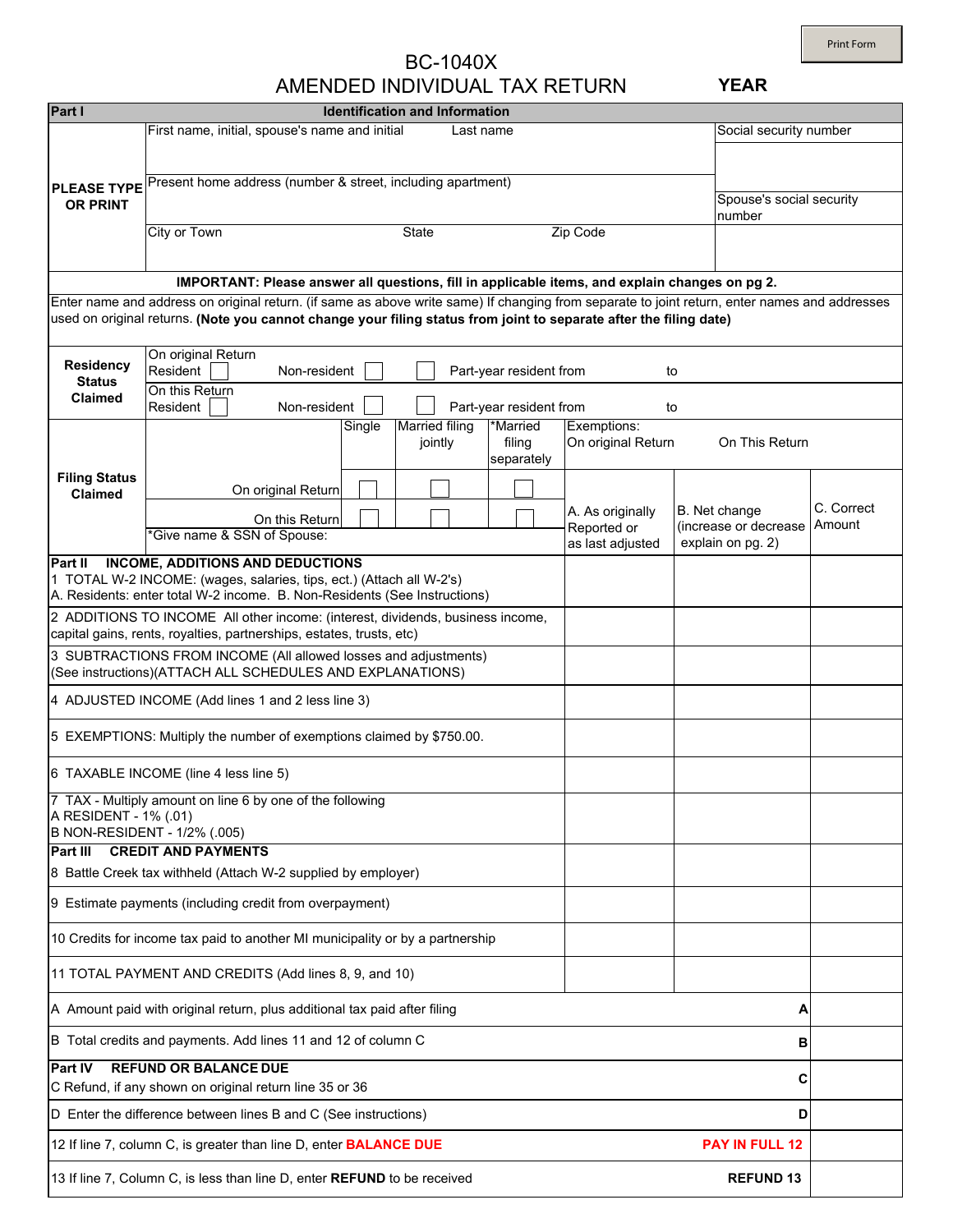## BC-1040X AMENDED INDIVIDUAL TAX RETURN

**Identification and Information** Part I First name, initial, spouse's name and initial Last name Social security number Present home address (number & street, including apartment) **PLEASE TYPE** Spouse's social security **OR PRINT** number City or Town State Zip Code IMPORTANT: Please answer all questions, fill in applicable items, and explain changes on pg 2. Enter name and address on original return. (if same as above write same) If changing from separate to joint return, enter names and addresses used on original returns. (Note you cannot change your filing status from joint to separate after the filing date) On original Return **Residency** Resident Non-resident Part-year resident from to **Status** On this Return **Claimed** Resident Non-resident Part-year resident from to **Married filing** Single Married\* Exemptions: jointly On original Return On This Return filing separately **Filing Status** On original Return **Claimed** C. Correct A. As originally B. Net change On this Return Amount (increase or decrease) Reported or Give name & SSN of Spouse: explain on pg. 2) as last adjusted **INCOME, ADDITIONS AND DEDUCTIONS** Part II 1 TOTAL W-2 INCOME: (wages, salaries, tips, ect.) (Attach all W-2's) A. Residents: enter total W-2 income. B. Non-Residents (See Instructions) 2 ADDITIONS TO INCOME All other income: (interest, dividends, business income, capital gains, rents, royalties, partnerships, estates, trusts, etc) 3 SUBTRACTIONS FROM INCOME (All allowed losses and adjustments) (See instructions)(ATTACH ALL SCHEDULES AND EXPLANATIONS) 4 ADJUSTED INCOME (Add lines 1 and 2 less line 3) 5 EXEMPTIONS: Multiply the number of exemptions claimed by \$750.00. 6 TAXABLE INCOME (line 4 less line 5) 7 TAX - Multiply amount on line 6 by one of the following A RESIDENT - 1% (.01) B NON-RESIDENT - 1/2% (.005) **CREDIT AND PAYMENTS** Part III 8 Battle Creek tax withheld (Attach W-2 supplied by employer) 9 Estimate payments (including credit from overpayment) 10 Credits for income tax paid to another MI municipality or by a partnership 11 TOTAL PAYMENT AND CREDITS (Add lines 8, 9, and 10) A Amount paid with original return, plus additional tax paid after filing A B Total credits and payments. Add lines 11 and 12 of column C B **REFUND OR BALANCE DUE Part IV**  $\mathbf C$ C Refund, if any shown on original return line 35 or 36 D D Enter the difference between lines B and C (See instructions) 12 If line 7, column C, is greater than line D, enter **BALANCE DUE PAY IN FULL 12** 13 If line 7, Column C, is less than line D, enter **REFUND** to be received **REFUND 13** 

**YEAR**